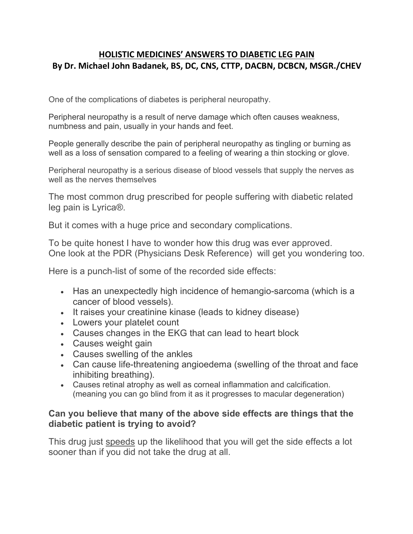## **HOLISTIC MEDICINES' ANSWERS TO DIABETIC LEG PAIN By Dr. Michael John Badanek, BS, DC, CNS, CTTP, DACBN, DCBCN, MSGR./CHEV**

One of the complications of diabetes is peripheral neuropathy.

Peripheral neuropathy is a result of nerve damage which often causes weakness, numbness and pain, usually in your hands and feet.

People generally describe the pain of peripheral neuropathy as tingling or burning as well as a loss of sensation compared to a feeling of wearing a thin stocking or glove.

Peripheral neuropathy is a serious disease of blood vessels that supply the nerves as well as the nerves themselves

The most common drug prescribed for people suffering with diabetic related leg pain is Lyrica®.

But it comes with a huge price and secondary complications.

To be quite honest I have to wonder how this drug was ever approved. One look at the PDR (Physicians Desk Reference) will get you wondering too.

Here is a punch-list of some of the recorded side effects:

- Has an unexpectedly high incidence of hemangio-sarcoma (which is a cancer of blood vessels).
- It raises your creatinine kinase (leads to kidney disease)
- Lowers your platelet count
- Causes changes in the EKG that can lead to heart block
- Causes weight gain
- Causes swelling of the ankles
- Can cause life-threatening angioedema (swelling of the throat and face inhibiting breathing).
- Causes retinal atrophy as well as corneal inflammation and calcification. (meaning you can go blind from it as it progresses to macular degeneration)

## **Can you believe that many of the above side effects are things that the diabetic patient is trying to avoid?**

This drug just speeds up the likelihood that you will get the side effects a lot sooner than if you did not take the drug at all.